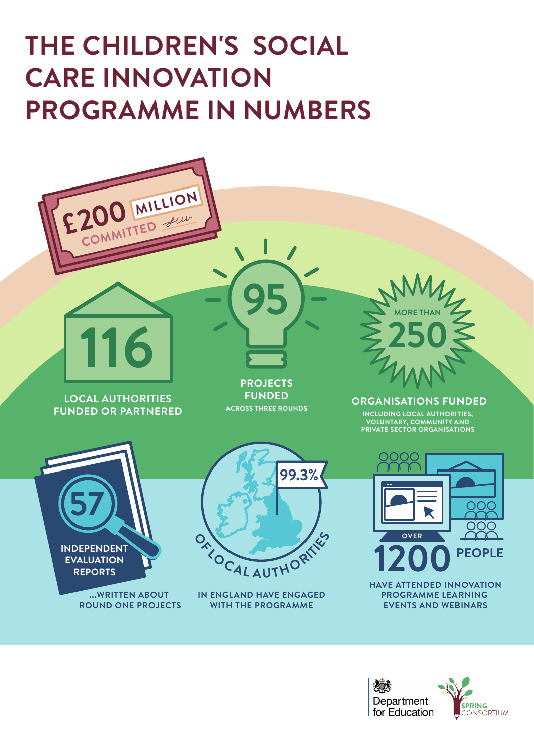

**...WRITTEN ABOUT ROUND ONE PROJECTS**  **HAVE ATTENDED INNOVATION PROGRAMME LEARNING EVENTS AND WEBINARS**



**IN ENGLAND HAVE ENGAGED WITH THE PROGRAMME**



**ACROSS THREE ROUNDS**



### **FUNDED OR PARTNERED**



**INCLUDING LOCAL AUTHORITIES, VOLUNTARY, COMMUNITY AND PRIVATE SECTOR ORGANISATIONS**

## **THE CHILDREN'S SOCIAL CARE INNOVATION PROGRAMME IN NUMBERS**